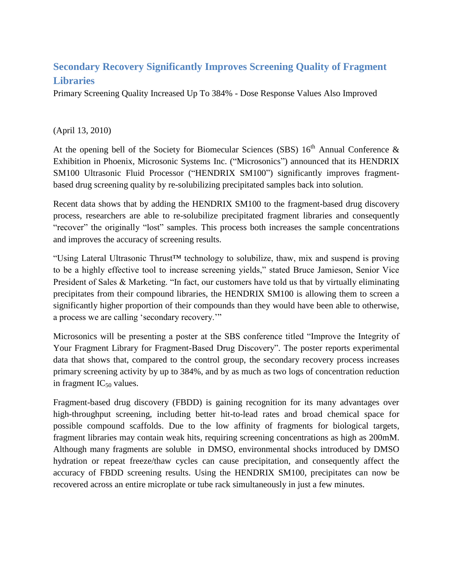## **Secondary Recovery Significantly Improves Screening Quality of Fragment Libraries**

Primary Screening Quality Increased Up To 384% - Dose Response Values Also Improved

## (April 13, 2010)

At the opening bell of the Society for Biomecular Sciences (SBS)  $16<sup>th</sup>$  Annual Conference & Exhibition in Phoenix, Microsonic Systems Inc. ("Microsonics") announced that its HENDRIX SM100 Ultrasonic Fluid Processor ("HENDRIX SM100") significantly improves fragmentbased drug screening quality by re-solubilizing precipitated samples back into solution.

Recent data shows that by adding the HENDRIX SM100 to the fragment-based drug discovery process, researchers are able to re-solubilize precipitated fragment libraries and consequently "recover" the originally "lost" samples. This process both increases the sample concentrations and improves the accuracy of screening results.

"Using Lateral Ultrasonic Thrust™ technology to solubilize, thaw, mix and suspend is proving to be a highly effective tool to increase screening yields," stated Bruce Jamieson, Senior Vice President of Sales & Marketing. "In fact, our customers have told us that by virtually eliminating precipitates from their compound libraries, the HENDRIX SM100 is allowing them to screen a significantly higher proportion of their compounds than they would have been able to otherwise, a process we are calling "secondary recovery.""

Microsonics will be presenting a poster at the SBS conference titled "Improve the Integrity of Your Fragment Library for Fragment-Based Drug Discovery". The poster reports experimental data that shows that, compared to the control group, the secondary recovery process increases primary screening activity by up to 384%, and by as much as two logs of concentration reduction in fragment  $IC_{50}$  values.

Fragment-based drug discovery (FBDD) is gaining recognition for its many advantages over high-throughput screening, including better hit-to-lead rates and broad chemical space for possible compound scaffolds. Due to the low affinity of fragments for biological targets, fragment libraries may contain weak hits, requiring screening concentrations as high as 200mM. Although many fragments are soluble in DMSO, environmental shocks introduced by DMSO hydration or repeat freeze/thaw cycles can cause precipitation, and consequently affect the accuracy of FBDD screening results. Using the HENDRIX SM100, precipitates can now be recovered across an entire microplate or tube rack simultaneously in just a few minutes.